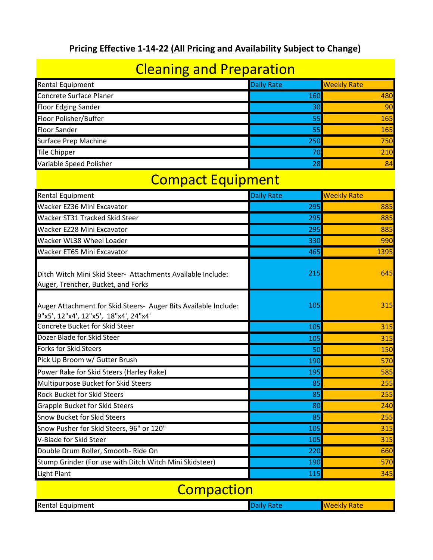#### **Pricing Effective 1-14-22 (All Pricing and Availability Subject to Change)**

### Cleaning and Preparation

| <b>Rental Equipment</b>     | Daily Rate | <b>Weekly Rate</b> |
|-----------------------------|------------|--------------------|
| Concrete Surface Planer     | 160        | 480                |
| <b>Floor Edging Sander</b>  | 30         | 90                 |
| Floor Polisher/Buffer       | 55         | 165                |
| <b>Floor Sander</b>         | 55         | 165                |
| <b>Surface Prep Machine</b> | 250        | 750                |
| Tile Chipper                |            | 210                |
| Variable Speed Polisher     | 28         | 84                 |

#### Compact Equipment

| <b>Rental Equipment</b>                                                                                  | <b>Daily Rate</b> | <b>Weekly Rate</b> |
|----------------------------------------------------------------------------------------------------------|-------------------|--------------------|
| Wacker EZ36 Mini Excavator                                                                               | 295               | 885                |
| Wacker ST31 Tracked Skid Steer                                                                           | 295               | 885                |
| Wacker EZ28 Mini Excavator                                                                               | 295               | 885                |
| Wacker WL38 Wheel Loader                                                                                 | 330               | 990                |
| Wacker ET65 Mini Excavator                                                                               | 465               | 1395               |
| Ditch Witch Mini Skid Steer- Attachments Available Include:<br>Auger, Trencher, Bucket, and Forks        | 215               | 645                |
| Auger Attachment for Skid Steers- Auger Bits Available Include:<br>9"x5', 12"x4', 12"x5', 18"x4', 24"x4' | 105               | 315                |
| <b>Concrete Bucket for Skid Steer</b>                                                                    | 105               | 315                |
| Dozer Blade for Skid Steer                                                                               | 105               | 315                |
| <b>Forks for Skid Steers</b>                                                                             | 50                | 150                |
| Pick Up Broom w/ Gutter Brush                                                                            | 190               | 570                |
| Power Rake for Skid Steers (Harley Rake)                                                                 | 195               | 585                |
| Multipurpose Bucket for Skid Steers                                                                      | 85                | 255                |
| <b>Rock Bucket for Skid Steers</b>                                                                       | 85                | 255                |
| <b>Grapple Bucket for Skid Steers</b>                                                                    | 80                | 240                |
| <b>Snow Bucket for Skid Steers</b>                                                                       | 85                | 255                |
| Snow Pusher for Skid Steers, 96" or 120"                                                                 | 105               | 315                |
| V-Blade for Skid Steer                                                                                   | 105               | 315                |
| Double Drum Roller, Smooth-Ride On                                                                       | 220               | 660                |
| Stump Grinder (For use with Ditch Witch Mini Skidsteer)                                                  | 190               | 570                |
| <b>Light Plant</b>                                                                                       | 115               | 345                |
| <b>Compaction</b>                                                                                        |                   |                    |

| <b>I</b> Ren<br>lipment<br>. ни с<br>нан | wate |
|------------------------------------------|------|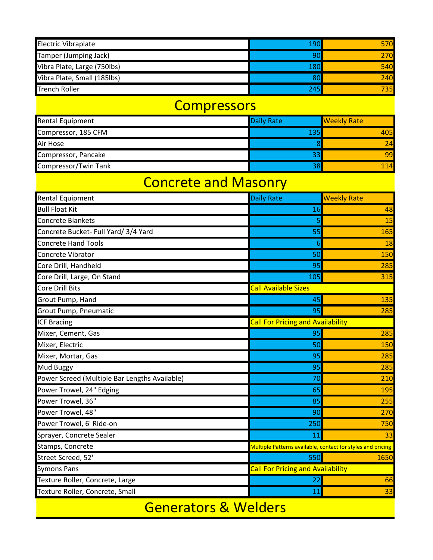| <b>Electric Vibraplate</b>  | 190 | 570  |
|-----------------------------|-----|------|
| Tamper (Jumping Jack)       |     | 270  |
| Vibra Plate, Large (750lbs) | 180 | 540  |
| Vibra Plate, Small (185lbs) |     | 240  |
| <b>Trench Roller</b>        | 245 | 735I |

#### **Compressors**

| <b>Rental Equipment</b>     | <b>Daily Rate</b> | <b>Weekly Rate</b> |
|-----------------------------|-------------------|--------------------|
| Compressor, 185 CFM         | 135               | 405                |
| Air Hose                    |                   | 74                 |
| Compressor, Pancake         | 33                | 99                 |
| <b>Compressor/Twin Tank</b> | 38                | 114                |

#### Concrete and Masonry

| <b>Rental Equipment</b>                       | <b>Daily Rate</b>                                           | <b>Weekly Rate</b> |
|-----------------------------------------------|-------------------------------------------------------------|--------------------|
| <b>Bull Float Kit</b>                         | 16                                                          | 48                 |
| <b>Concrete Blankets</b>                      |                                                             | 15                 |
| Concrete Bucket- Full Yard/ 3/4 Yard          | 55                                                          | 165                |
| <b>Concrete Hand Tools</b>                    | 6                                                           | 18                 |
| Concrete Vibrator                             | 50                                                          | 150                |
| Core Drill, Handheld                          | 95                                                          | 285                |
| Core Drill, Large, On Stand                   | 105                                                         | 315                |
| Core Drill Bits                               | <b>Call Available Sizes</b>                                 |                    |
| Grout Pump, Hand                              | 45                                                          | 135                |
| <b>Grout Pump, Pneumatic</b>                  | 95                                                          | 285                |
| <b>ICF Bracing</b>                            | <b>Call For Pricing and Availability</b>                    |                    |
| Mixer, Cement, Gas                            | 95                                                          | 285                |
| Mixer, Electric                               | 50                                                          | 150                |
| Mixer, Mortar, Gas                            | 95                                                          | 285                |
| <b>Mud Buggy</b>                              | 95                                                          | 285                |
| Power Screed (Multiple Bar Lengths Available) | 70                                                          | 210                |
| Power Trowel, 24" Edging                      | 65                                                          | 195                |
| Power Trowel, 36"                             | 85                                                          | 255                |
| Power Trowel, 48"                             | 90                                                          | 270                |
| Power Trowel, 6' Ride-on                      | 250                                                         | 750                |
| Sprayer, Concrete Sealer                      | 11                                                          | 33                 |
| Stamps, Concrete                              | Multiple Patterns available, contact for styles and pricing |                    |
| Street Screed, 52'                            | 550                                                         | 1650               |
| <b>Symons Pans</b>                            | <b>Call For Pricing and Availability</b>                    |                    |
| Texture Roller, Concrete, Large               | 22                                                          | 66                 |
| Texture Roller, Concrete, Small               | 11                                                          | 33                 |

Generators & Welders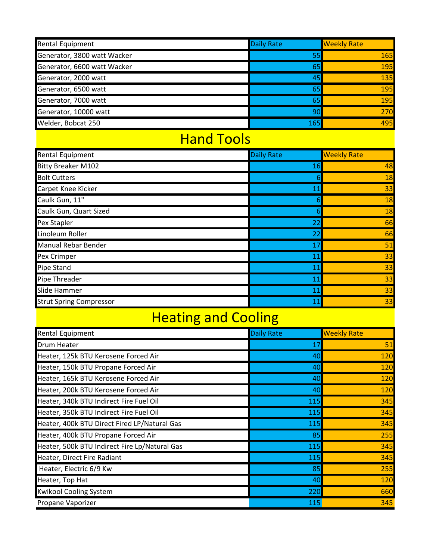| <b>Rental Equipment</b>     | Daily Rate | <b>Weekly Rate</b> |
|-----------------------------|------------|--------------------|
| Generator, 3800 watt Wacker | 55         | <b>165</b>         |
| Generator, 6600 watt Wacker | 65         | 195                |
| Generator, 2000 watt        | 45         | 135                |
| Generator, 6500 watt        | 65         | 195                |
| Generator, 7000 watt        | 65         | 195                |
| Generator, 10000 watt       | 90         | 270                |
| Welder, Bobcat 250          | 165        | 495                |

#### Hand Tools

| <b>Rental Equipment</b>        | <b>Daily Rate</b> | <b>Weekly Rate</b> |
|--------------------------------|-------------------|--------------------|
| <b>Bitty Breaker M102</b>      | 16                | 48                 |
| <b>Bolt Cutters</b>            |                   | 18                 |
| Carpet Knee Kicker             | 11                | 33                 |
| Caulk Gun, 11"                 |                   | 18                 |
| Caulk Gun, Quart Sized         |                   | 18                 |
| Pex Stapler                    | 22                | 66                 |
| Linoleum Roller                | 22                | 66                 |
| <b>Manual Rebar Bender</b>     | 17                | 51                 |
| Pex Crimper                    | 11                | 33                 |
| <b>Pipe Stand</b>              | 11                | 33                 |
| Pipe Threader                  | 11                | 33                 |
| Slide Hammer                   | 11                | 33                 |
| <b>Strut Spring Compressor</b> | 11                | 33                 |

## Heating and Cooling

| <b>Rental Equipment</b>                       | <b>Daily Rate</b> | <b>Weekly Rate</b> |
|-----------------------------------------------|-------------------|--------------------|
| <b>Drum Heater</b>                            | 17                | 51                 |
| Heater, 125k BTU Kerosene Forced Air          | 40                | 120                |
| Heater, 150k BTU Propane Forced Air           | 40                | 120                |
| Heater, 165k BTU Kerosene Forced Air          | 40                | 120                |
| Heater, 200k BTU Kerosene Forced Air          | 40                | 120                |
| Heater, 340k BTU Indirect Fire Fuel Oil       | 115               | 345                |
| Heater, 350k BTU Indirect Fire Fuel Oil       | 115               | 345                |
| Heater, 400k BTU Direct Fired LP/Natural Gas  | 115               | 345                |
| Heater, 400k BTU Propane Forced Air           | 85                | 255                |
| Heater, 500k BTU Indirect Fire Lp/Natural Gas | 115               | 345                |
| Heater, Direct Fire Radiant                   | 115               | 345                |
| Heater, Electric 6/9 Kw                       | 85                | 255                |
| Heater, Top Hat                               | 40                | 120                |
| <b>Kwikool Cooling System</b>                 | 220               | 660                |
| Propane Vaporizer                             | 115               | 345                |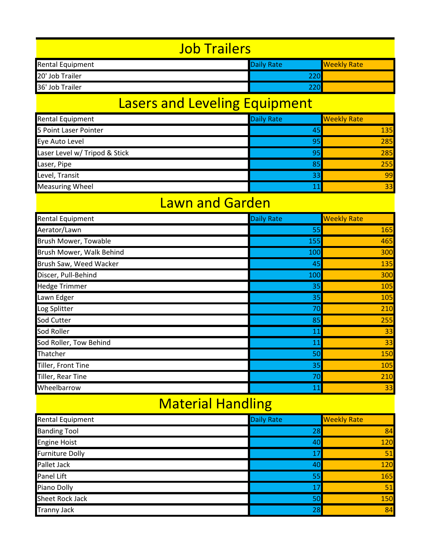| Job Trailers                                                       |  |  |  |  |
|--------------------------------------------------------------------|--|--|--|--|
| <b>Rental Equipment</b><br><b>Daily Rate</b><br><b>Weekly Rate</b> |  |  |  |  |
| 20' Job Trailer                                                    |  |  |  |  |
| 36' Job Trailer                                                    |  |  |  |  |

### Lasers and Leveling Equipment

| Rental Equipment              | <b>Daily Rate</b> | <b>Weekly Rate</b> |
|-------------------------------|-------------------|--------------------|
| 5 Point Laser Pointer         | 45                | 135                |
| Eye Auto Level                | 95                | 285                |
| Laser Level w/ Tripod & Stick | 95                | 285                |
| Laser, Pipe                   | 85                | 255                |
| Level, Transit                | 33                | 99                 |
| <b>Measuring Wheel</b>        |                   | 33                 |

### Lawn and Garden

| Rental Equipment            | <b>Daily Rate</b> | <b>Weekly Rate</b> |
|-----------------------------|-------------------|--------------------|
| Aerator/Lawn                | 55                | 165                |
| <b>Brush Mower, Towable</b> | 155               | 465                |
| Brush Mower, Walk Behind    | 100               | 300                |
| Brush Saw, Weed Wacker      | 45                | 135                |
| Discer, Pull-Behind         | 100               | 300                |
| <b>Hedge Trimmer</b>        | 35                | 105                |
| Lawn Edger                  | 35                | 105                |
| Log Splitter                | 70                | 210                |
| <b>Sod Cutter</b>           | 85                | 255                |
| Sod Roller                  | 11                | 33                 |
| Sod Roller, Tow Behind      | 11                | 33                 |
| Thatcher                    | 50                | 150                |
| Tiller, Front Tine          | 35                | 105                |
| Tiller, Rear Tine           | 70                | 210                |
| Wheelbarrow                 | 11                | 33                 |

### Material Handling

| Rental Equipment       | Daily Rate | <b>Weekly Rate</b> |
|------------------------|------------|--------------------|
| <b>Banding Tool</b>    | 28         | 84                 |
| <b>Engine Hoist</b>    | 40         | 120                |
| <b>Furniture Dolly</b> | 17         | 51                 |
| Pallet Jack            | 40         | 120                |
| Panel Lift             | 55         | 165                |
| Piano Dolly            | 17         | 51                 |
| Sheet Rock Jack        | 50         | 150                |
| <b>Tranny Jack</b>     | 28         | 84                 |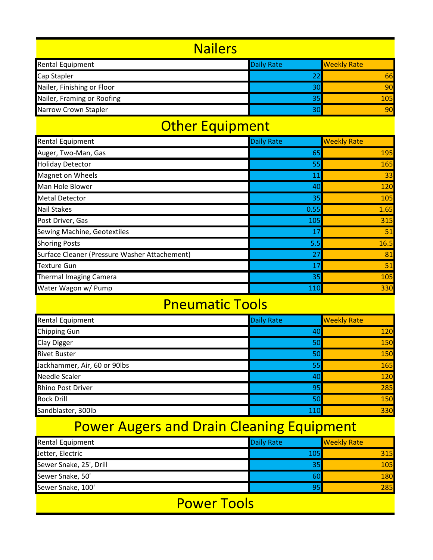#### **Nailers**

| <b>Rental Equipment</b>     | Daily Rate | <b>Weekly Rate</b> |
|-----------------------------|------------|--------------------|
| Cap Stapler                 |            | 661                |
| Nailer, Finishing or Floor  | 30         | 90                 |
| Nailer, Framing or Roofing  |            | 105                |
| <b>Narrow Crown Stapler</b> | 30         | 90                 |

#### Other Equipment

| <b>Rental Equipment</b>                       | <b>Daily Rate</b> | <b>Weekly Rate</b> |
|-----------------------------------------------|-------------------|--------------------|
| Auger, Two-Man, Gas                           | 65                | 195                |
| <b>Holiday Detector</b>                       | 55                | 165                |
| <b>Magnet on Wheels</b>                       | 11                | 33                 |
| Man Hole Blower                               | 40                | 120                |
| <b>Metal Detector</b>                         | 35                | 105                |
| <b>Nail Stakes</b>                            | 0.55              | 1.65               |
| Post Driver, Gas                              | 105               | 315                |
| Sewing Machine, Geotextiles                   | 17                | 51                 |
| <b>Shoring Posts</b>                          | 5.5               | 16.5               |
| Surface Cleaner (Pressure Washer Attachement) | 27                | 81                 |
| <b>Texture Gun</b>                            | 17                | 51                 |
| <b>Thermal Imaging Camera</b>                 | 35                | 105                |
| Water Wagon w/ Pump                           | 110               | 330                |

#### Pneumatic Tools

| Rental Equipment             | Daily Rate | <b>Weekly Rate</b> |
|------------------------------|------------|--------------------|
| Chipping Gun                 | 40         | 120                |
| Clay Digger                  | 50         | 150                |
| <b>Rivet Buster</b>          | 50         | 150                |
| Jackhammer, Air, 60 or 90lbs | 55         | 165                |
| <b>Needle Scaler</b>         | 40         | 120                |
| Rhino Post Driver            | 95         | 285                |
| <b>Rock Drill</b>            | 50         | 150                |
| Sandblaster, 300lb           | 11(        | 330                |

# Power Augers and Drain Cleaning Equipment

| <b>Rental Equipment</b> | <b>Daily Rate</b> | <b>Weekly Rate</b> |
|-------------------------|-------------------|--------------------|
| Jetter, Electric        | 105               | 315                |
| Sewer Snake, 25', Drill | 35                | 105                |
| Sewer Snake, 50'        | 60                | <b>180</b>         |
| Sewer Snake, 100'       | 95                | <b>285</b>         |

Power Tools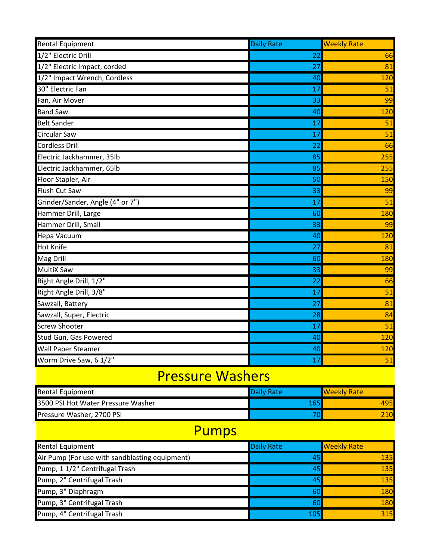| <b>Rental Equipment</b>          | <b>Daily Rate</b> | <b>Weekly Rate</b> |
|----------------------------------|-------------------|--------------------|
| 1/2" Electric Drill              | 22                | 66                 |
| 1/2" Electric Impact, corded     | 27                | 81                 |
| 1/2" Impact Wrench, Cordless     | 40                | 120                |
| 30" Electric Fan                 | 17                | 51                 |
| Fan, Air Mover                   | 33                | 99                 |
| <b>Band Saw</b>                  | 40                | 120                |
| <b>Belt Sander</b>               | 17                | 51                 |
| <b>Circular Saw</b>              | 17                | 51                 |
| <b>Cordless Drill</b>            | 22                | 66                 |
| Electric Jackhammer, 35lb        | 85                | 255                |
| Electric Jackhammer, 65lb        | 85                | 255                |
| Floor Stapler, Air               | 50                | 150                |
| <b>Flush Cut Saw</b>             | 33                | 99                 |
| Grinder/Sander, Angle (4" or 7") | 17                | 51                 |
| Hammer Drill, Large              | 60                | 180                |
| Hammer Drill, Small              | 33                | 99                 |
| <b>Hepa Vacuum</b>               | 40                | 120                |
| <b>Hot Knife</b>                 | 27                | 81                 |
| <b>Mag Drill</b>                 | 60                | 180                |
| <b>MultiX Saw</b>                | 33                | 99                 |
| Right Angle Drill, 1/2"          | 22                | 66                 |
| Right Angle Drill, 3/8"          | 17                | 51                 |
| Sawzall, Battery                 | 27                | 81                 |
| Sawzall, Super, Electric         | 28                | 84                 |
| <b>Screw Shooter</b>             | 17                | 51                 |
| Stud Gun, Gas Powered            | 40                | 120                |
| <b>Wall Paper Steamer</b>        | 40                | 120                |
| Worm Drive Saw, 6 1/2"           | 17                | 51                 |

#### Pressure Washers

| <b>Rental Equipment</b>            | <b>Daily Rate</b> | <b>I</b> Weekly Rate |
|------------------------------------|-------------------|----------------------|
| 3500 PSI Hot Water Pressure Washer | L65               | 495                  |
| Pressure Washer, 2700 PSI          |                   |                      |

## Pumps

| <b>Rental Equipment</b>                        | <b>Daily Rate</b> | <b>Weekly Rate</b> |
|------------------------------------------------|-------------------|--------------------|
| Air Pump (For use with sandblasting equipment) | 45                | 135                |
| Pump, 1 1/2" Centrifugal Trash                 | 45                | 135                |
| Pump, 2" Centrifugal Trash                     | 45                | 135                |
| Pump, 3" Diaphragm                             | 60                | 180                |
| Pump, 3" Centrifugal Trash                     | 60                | 180                |
| Pump, 4" Centrifugal Trash                     | 105               | 315                |